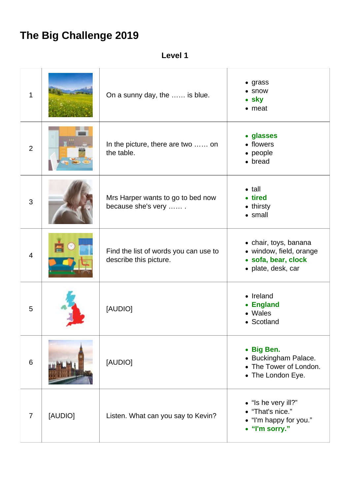## **The Big Challenge 2019**

**Level 1**

| 1              |         | On a sunny day, the  is blue.                                   | $\bullet$ grass<br>• snow<br>• sky<br>$\bullet$ meat                                          |
|----------------|---------|-----------------------------------------------------------------|-----------------------------------------------------------------------------------------------|
| $\overline{2}$ |         | In the picture, there are two  on<br>the table.                 | • glasses<br>• flowers<br>• people<br>• bread                                                 |
| 3              |         | Mrs Harper wants to go to bed now<br>because she's very         | $\bullet$ tall<br>• tired<br>• thirsty<br>• small                                             |
| $\overline{4}$ |         | Find the list of words you can use to<br>describe this picture. | • chair, toys, banana<br>• window, field, orange<br>· sofa, bear, clock<br>· plate, desk, car |
| 5              |         | [AUDIO]                                                         | • Ireland<br><b>England</b><br>۰<br>• Wales<br>• Scotland                                     |
| 6              |         | [AUDIO]                                                         | • Big Ben.<br>• Buckingham Palace.<br>• The Tower of London.<br>• The London Eye.             |
| $\overline{7}$ | [AUDIO] | Listen. What can you say to Kevin?                              | • "Is he very ill?"<br>• "That's nice."<br>• "I'm happy for you."<br>• "I'm sorry."           |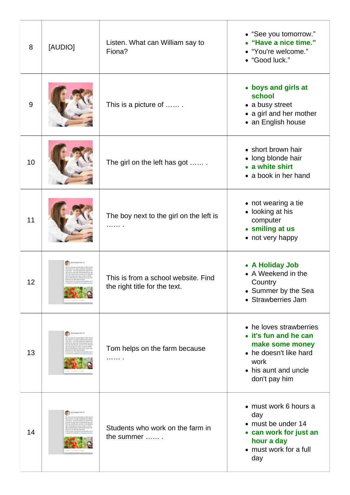| 8  | [AUDIO] | Listen. What can William say to<br>Fiona?                            | • "See you tomorrow."<br>• "Have a nice time."<br>• "You're welcome."<br>• "Good luck."                                                        |
|----|---------|----------------------------------------------------------------------|------------------------------------------------------------------------------------------------------------------------------------------------|
| 9  |         | This is a picture of                                                 | • boys and girls at<br>school<br>• a busy street<br>• a girl and her mother<br>• an English house                                              |
| 10 |         | The girl on the left has got                                         | • short brown hair<br>• long blonde hair<br>• a white shirt<br>• a book in her hand                                                            |
| 11 |         | The boy next to the girl on the left is<br>.                         | • not wearing a tie<br>• looking at his<br>computer<br>• smiling at us<br>• not very happy                                                     |
| 12 |         | This is from a school website. Find<br>the right title for the text. | • A Holiday Job<br>• A Weekend in the<br>Country<br>• Summer by the Sea<br>• Strawberries Jam                                                  |
| 13 |         | Tom helps on the farm because                                        | • he loves strawberries<br>• it's fun and he can<br>make some money<br>• he doesn't like hard<br>work<br>• his aunt and uncle<br>don't pay him |
| 14 |         | Students who work on the farm in<br>the summer                       | • must work 6 hours a<br>day<br>• must be under 14<br>• can work for just an<br>hour a day<br>• must work for a full<br>day                    |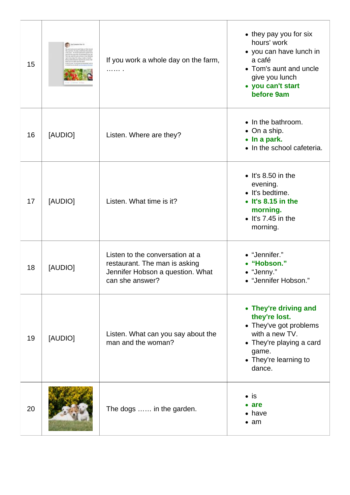| 15 |         | If you work a whole day on the farm,<br>.                                                                               | • they pay you for six<br>hours' work<br>• you can have lunch in<br>a café<br>• Tom's aunt and uncle<br>give you lunch<br>• you can't start<br>before 9am  |
|----|---------|-------------------------------------------------------------------------------------------------------------------------|------------------------------------------------------------------------------------------------------------------------------------------------------------|
| 16 | [AUDIO] | Listen. Where are they?                                                                                                 | • In the bathroom.<br>$\bullet$ On a ship.<br>• In a park.<br>• In the school cafeteria.                                                                   |
| 17 | [AUDIO] | Listen. What time is it?                                                                                                | $\bullet$ It's 8.50 in the<br>evening.<br>· It's bedtime.<br>$\bullet$ It's 8.15 in the<br>morning.<br>$\bullet$ It's 7.45 in the<br>morning.              |
| 18 | [AUDIO] | Listen to the conversation at a<br>restaurant. The man is asking<br>Jennifer Hobson a question. What<br>can she answer? | • "Jennifer."<br>• "Hobson."<br>• "Jenny."<br>• "Jennifer Hobson."                                                                                         |
| 19 | [AUDIO] | Listen. What can you say about the<br>man and the woman?                                                                | • They're driving and<br>they're lost.<br>• They've got problems<br>with a new TV.<br>• They're playing a card<br>game.<br>• They're learning to<br>dance. |
| 20 |         | The dogs  in the garden.                                                                                                | $\bullet$ is<br>$\bullet$ are<br>$\bullet$ have<br>$\bullet$ am                                                                                            |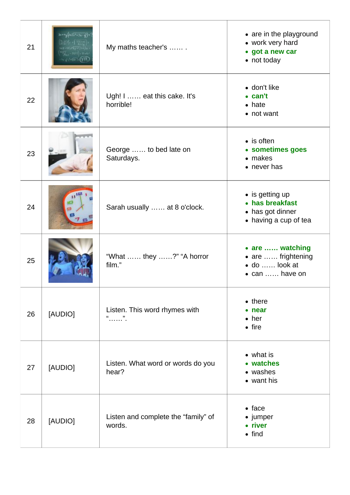| 21 | $3x + 4y(2a)\sqrt{r^2+5x-q^2}$<br>$\chi_{\rm{1.1}} - 3375$ ) + 30 ad<br>$44/100 - (777)$ | My maths teacher's                            | • are in the playground<br>• work very hard<br>• got a new car<br>• not today    |
|----|------------------------------------------------------------------------------------------|-----------------------------------------------|----------------------------------------------------------------------------------|
| 22 |                                                                                          | Ugh! I  eat this cake. It's<br>horrible!      | • don't like<br>$\bullet$ can't<br>$\bullet$ hate<br>• not want                  |
| 23 |                                                                                          | George  to bed late on<br>Saturdays.          | $\bullet$ is often<br>• sometimes goes<br>$\bullet$ makes<br>$\bullet$ never has |
| 24 |                                                                                          | Sarah usually  at 8 o'clock.                  | • is getting up<br>• has breakfast<br>• has got dinner<br>• having a cup of tea  |
| 25 |                                                                                          | "What  they ?" "A horror<br>film."            | • are  watching<br>• are  frightening<br>· do  look at<br>$\bullet$ can  have on |
| 26 | [AUDIO]                                                                                  | Listen. This word rhymes with<br>66<br>. ".   | $\bullet$ there<br>near<br>$\bullet$ her<br>$\bullet$ fire                       |
| 27 | [AUDIO]                                                                                  | Listen. What word or words do you<br>hear?    | • what is<br>• watches<br>• washes<br>• want his                                 |
| 28 | [AUDIO]                                                                                  | Listen and complete the "family" of<br>words. | $\bullet$ face<br>• jumper<br>• river<br>$\bullet$ find                          |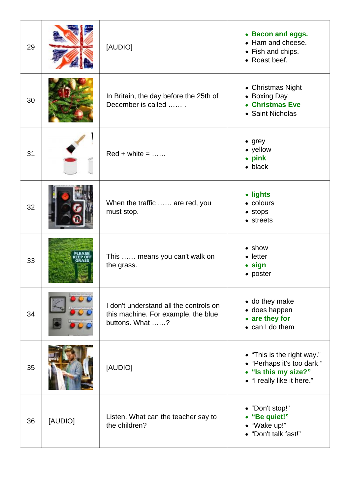| 29 |         | [AUDIO]                                                                                          | • Bacon and eggs.<br>• Ham and cheese.<br>• Fish and chips.<br>• Roast beef.                                   |
|----|---------|--------------------------------------------------------------------------------------------------|----------------------------------------------------------------------------------------------------------------|
| 30 |         | In Britain, the day before the 25th of<br>December is called                                     | • Christmas Night<br>• Boxing Day<br>• Christmas Eve<br>• Saint Nicholas                                       |
| 31 |         | $Red + white = $                                                                                 | $\bullet$ grey<br>• yellow<br>• pink<br>$\bullet$ black                                                        |
| 32 |         | When the traffic  are red, you<br>must stop.                                                     | • lights<br>• colours<br>$\bullet$ stops<br>• streets                                                          |
| 33 |         | This  means you can't walk on<br>the grass.                                                      | $\bullet$ show<br>$\bullet$ letter<br>• sign<br>• poster                                                       |
| 34 |         | I don't understand all the controls on<br>this machine. For example, the blue<br>buttons. What ? | • do they make<br>• does happen<br>• are they for<br>• can I do them                                           |
| 35 |         | [AUDIO]                                                                                          | • "This is the right way."<br>• "Perhaps it's too dark."<br>• "Is this my size?"<br>• "I really like it here." |
| 36 | [AUDIO] | Listen. What can the teacher say to<br>the children?                                             | • "Don't stop!"<br>• "Be quiet!"<br>• "Wake up!"<br>• "Don't talk fast!"                                       |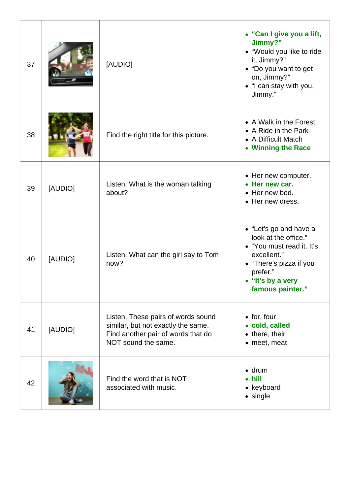| 37 |         | [AUDIO]                                                                                                                               | • "Can I give you a lift,<br>Jimmy?"<br>• "Would you like to ride<br>it, Jimmy?"<br>• "Do you want to get<br>on, Jimmy?"<br>• "I can stay with you,<br>Jimmy."             |
|----|---------|---------------------------------------------------------------------------------------------------------------------------------------|----------------------------------------------------------------------------------------------------------------------------------------------------------------------------|
| 38 |         | Find the right title for this picture.                                                                                                | • A Walk in the Forest<br>• A Ride in the Park<br>• A Difficult Match<br>• Winning the Race                                                                                |
| 39 | [AUDIO] | Listen. What is the woman talking<br>about?                                                                                           | • Her new computer.<br>Her new car.<br>• Her new bed.<br>• Her new dress.                                                                                                  |
| 40 | [AUDIO] | Listen. What can the girl say to Tom<br>now?                                                                                          | • "Let's go and have a<br>look at the office."<br>• "You must read it. It's<br>excellent."<br>• "There's pizza if you<br>prefer."<br>• "It's by a very<br>famous painter." |
| 41 | [AUDIO] | Listen. These pairs of words sound<br>similar, but not exactly the same.<br>Find another pair of words that do<br>NOT sound the same. | $\bullet$ for, four<br>• cold, called<br>• there, their<br>• meet, meat                                                                                                    |
| 42 |         | Find the word that is NOT<br>associated with music.                                                                                   | $\bullet$ drum<br>hill<br>• keyboard<br>• single                                                                                                                           |